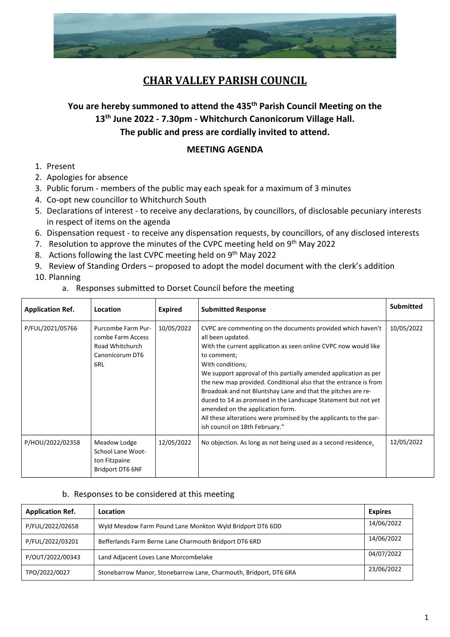

## **CHAR VALLEY PARISH COUNCIL**

## **You are hereby summoned to attend the 435 th Parish Council Meeting on the 13th June 2022 - 7.30pm - Whitchurch Canonicorum Village Hall. The public and press are cordially invited to attend.**

## **MEETING AGENDA**

- 1. Present
- 2. Apologies for absence
- 3. Public forum members of the public may each speak for a maximum of 3 minutes
- 4. Co-opt new councillor to Whitchurch South
- 5. Declarations of interest to receive any declarations, by councillors, of disclosable pecuniary interests in respect of items on the agenda
- 6. Dispensation request to receive any dispensation requests, by councillors, of any disclosed interests
- 7. Resolution to approve the minutes of the CVPC meeting held on 9<sup>th</sup> May 2022
- 8. Actions following the last CVPC meeting held on 9<sup>th</sup> May 2022
- 9. Review of Standing Orders proposed to adopt the model document with the clerk's addition
- 10. Planning
	- a. Responses submitted to Dorset Council before the meeting

| <b>Application Ref.</b> | Location                                                                             | <b>Expired</b> | <b>Submitted Response</b>                                                                                                                                                                                                                                                                                                                                                                                                                                                                                                                                                                                   | <b>Submitted</b> |
|-------------------------|--------------------------------------------------------------------------------------|----------------|-------------------------------------------------------------------------------------------------------------------------------------------------------------------------------------------------------------------------------------------------------------------------------------------------------------------------------------------------------------------------------------------------------------------------------------------------------------------------------------------------------------------------------------------------------------------------------------------------------------|------------------|
| P/FUL/2021/05766        | Purcombe Farm Pur-<br>combe Farm Access<br>Road Whitchurch<br>Canonicorum DT6<br>6RL | 10/05/2022     | CVPC are commenting on the documents provided which haven't<br>all been updated.<br>With the current application as seen online CVPC now would like<br>to comment;<br>With conditions;<br>We support approval of this partially amended application as per<br>the new map provided. Conditional also that the entrance is from<br>Broadoak and not Bluntshay Lane and that the pitches are re-<br>duced to 14 as promised in the Landscape Statement but not yet<br>amended on the application form.<br>All these alterations were promised by the applicants to the par-<br>ish council on 18th February." | 10/05/2022       |
| P/HOU/2022/02358        | Meadow Lodge<br>School Lane Woot-<br>ton Fitzpaine<br>Bridport DT6 6NF               | 12/05/2022     | No objection. As long as not being used as a second residence.                                                                                                                                                                                                                                                                                                                                                                                                                                                                                                                                              | 12/05/2022       |

## b. Responses to be considered at this meeting

| <b>Application Ref.</b> | Location                                                          | <b>Expires</b> |
|-------------------------|-------------------------------------------------------------------|----------------|
| P/FUL/2022/02658        | Wyld Meadow Farm Pound Lane Monkton Wyld Bridport DT6 6DD         | 14/06/2022     |
| P/FUL/2022/03201        | Befferlands Farm Berne Lane Charmouth Bridport DT6 6RD            | 14/06/2022     |
| P/OUT/2022/00343        | Land Adjacent Loves Lane Morcombelake                             | 04/07/2022     |
| TPO/2022/0027           | Stonebarrow Manor, Stonebarrow Lane, Charmouth, Bridport, DT6 6RA | 23/06/2022     |